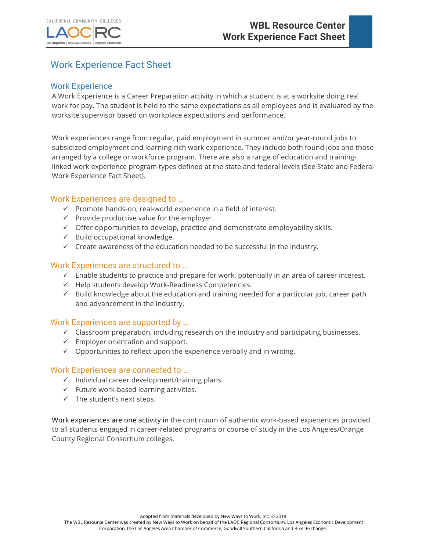



# Work Experience Fact Sheet

## Work Experience

A Work Experience is a Career Preparation activity in which a student is at a worksite doing real work for pay. The student is held to the same expectations as all employees and is evaluated by the worksite supervisor based on workplace expectations and performance.

Work experiences range from regular, paid employment in summer and/or year-round jobs to subsidized employment and learning-rich work experience. They include both found jobs and those arranged by a college or workforce program. There are also a range of education and traininglinked work experience program types defined at the state and federal levels (See State and Federal Work Experience Fact Sheet).

## Work Experiences are designed to …

- $\checkmark$  Promote hands-on, real-world experience in a field of interest.
- $\checkmark$  Provide productive value for the employer.
- $\checkmark$  Offer opportunities to develop, practice and demonstrate employability skills.
- $\checkmark$  Build occupational knowledge.
- $\checkmark$  Create awareness of the education needed to be successful in the industry.

#### Work Experiences are structured to …

- $\checkmark$  Enable students to practice and prepare for work, potentially in an area of career interest.
- $\checkmark$  Help students develop Work-Readiness Competencies.
- $\checkmark$  Build knowledge about the education and training needed for a particular job, career path and advancement in the industry.

#### Work Experiences are supported by …

- $\checkmark$  Classroom preparation, including research on the industry and participating businesses.
- $\checkmark$  Employer orientation and support.
- $\checkmark$  Opportunities to reflect upon the experience verbally and in writing.

#### Work Experiences are connected to …

- $\checkmark$  Individual career development/training plans.
- $\checkmark$  Future work-based learning activities.
- $\checkmark$  The student's next steps.

Work experiences are one activity in the continuum of authentic work-based experiences provided to all students engaged in career-related programs or course of study in the Los Angeles/Orange County Regional Consortium colleges.